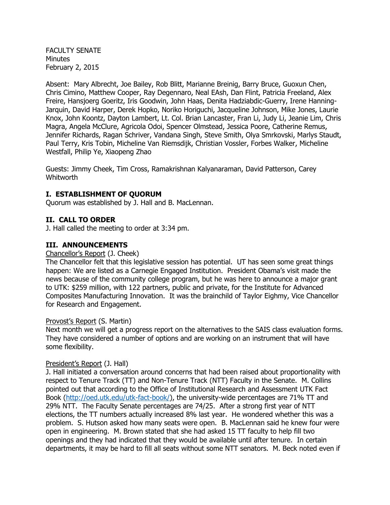FACULTY SENATE Minutes February 2, 2015

Absent: Mary Albrecht, Joe Bailey, Rob Blitt, Marianne Breinig, Barry Bruce, Guoxun Chen, Chris Cimino, Matthew Cooper, Ray Degennaro, Neal EAsh, Dan Flint, Patricia Freeland, Alex Freire, Hansjoerg Goeritz, Iris Goodwin, John Haas, Denita Hadziabdic-Guerry, Irene Hanning-Jarquin, David Harper, Derek Hopko, Noriko Horiguchi, Jacqueline Johnson, Mike Jones, Laurie Knox, John Koontz, Dayton Lambert, Lt. Col. Brian Lancaster, Fran Li, Judy Li, Jeanie Lim, Chris Magra, Angela McClure, Agricola Odoi, Spencer Olmstead, Jessica Poore, Catherine Remus, Jennifer Richards, Ragan Schriver, Vandana Singh, Steve Smith, Olya Smrkovski, Marlys Staudt, Paul Terry, Kris Tobin, Micheline Van Riemsdijk, Christian Vossler, Forbes Walker, Micheline Westfall, Philip Ye, Xiaopeng Zhao

Guests: Jimmy Cheek, Tim Cross, Ramakrishnan Kalyanaraman, David Patterson, Carey Whitworth

## **I. ESTABLISHMENT OF QUORUM**

Quorum was established by J. Hall and B. MacLennan.

#### **II. CALL TO ORDER**

J. Hall called the meeting to order at 3:34 pm.

#### **III. ANNOUNCEMENTS**

#### Chancellor's Report (J. Cheek)

The Chancellor felt that this legislative session has potential. UT has seen some great things happen: We are listed as a Carnegie Engaged Institution. President Obama's visit made the news because of the community college program, but he was here to announce a major grant to UTK: \$259 million, with 122 partners, public and private, for the Institute for Advanced Composites Manufacturing Innovation. It was the brainchild of Taylor Eighmy, Vice Chancellor for Research and Engagement.

#### Provost's Report (S. Martin)

Next month we will get a progress report on the alternatives to the SAIS class evaluation forms. They have considered a number of options and are working on an instrument that will have some flexibility.

#### President's Report (J. Hall)

J. Hall initiated a conversation around concerns that had been raised about proportionality with respect to Tenure Track (TT) and Non-Tenure Track (NTT) Faculty in the Senate. M. Collins pointed out that according to the Office of Institutional Research and Assessment UTK Fact Book [\(http://oed.utk.edu/utk-fact-book/\)](http://oed.utk.edu/utk-fact-book/), the university-wide percentages are 71% TT and 29% NTT. The Faculty Senate percentages are 74/25. After a strong first year of NTT elections, the TT numbers actually increased 8% last year. He wondered whether this was a problem. S. Hutson asked how many seats were open. B. MacLennan said he knew four were open in engineering. M. Brown stated that she had asked 15 TT faculty to help fill two openings and they had indicated that they would be available until after tenure. In certain departments, it may be hard to fill all seats without some NTT senators. M. Beck noted even if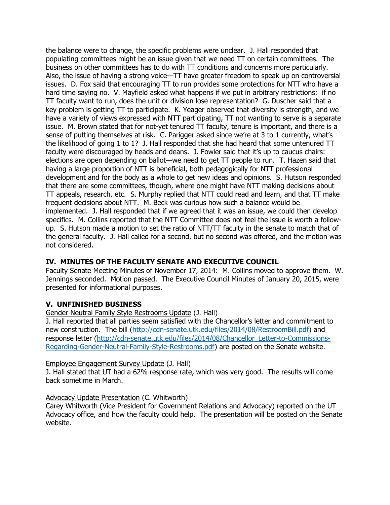the balance were to change, the specific problems were unclear. J. Hall responded that populating committees might be an issue given that we need TT on certain committees. The business on other committees has to do with TT conditions and concerns more particularly. Also, the issue of having a strong voice—TT have greater freedom to speak up on controversial issues. D. Fox said that encouraging TT to run provides some protections for NTT who have a hard time saying no. V. Mayfield asked what happens if we put in arbitrary restrictions: if no TT faculty want to run, does the unit or division lose representation? G. Duscher said that a key problem is getting TT to participate. K. Yeager observed that diversity is strength, and we have a variety of views expressed with NTT participating, TT not wanting to serve is a separate issue. M. Brown stated that for not-yet tenured TT faculty, tenure is important, and there is a sense of putting themselves at risk. C. Parigger asked since we're at 3 to 1 currently, what's the likelihood of going 1 to 1? J. Hall responded that she had heard that some untenured TT faculty were discouraged by heads and deans. J. Fowler said that it's up to caucus chairs: elections are open depending on ballot—we need to get TT people to run. T. Hazen said that having a large proportion of NTT is beneficial, both pedagogically for NTT professional development and for the body as a whole to get new ideas and opinions. S. Hutson responded that there are some committees, though, where one might have NTT making decisions about TT appeals, research, etc. S. Murphy replied that NTT could read and learn, and that TT make frequent decisions about NTT. M. Beck was curious how such a balance would be implemented. J. Hall responded that if we agreed that it was an issue, we could then develop specifics. M. Collins reported that the NTT Committee does not feel the issue is worth a followup. S. Hutson made a motion to set the ratio of NTT/TT faculty in the senate to match that of the general faculty. J. Hall called for a second, but no second was offered, and the motion was not considered.

# **IV. MINUTES OF THE FACULTY SENATE AND EXECUTIVE COUNCIL**

Faculty Senate Meeting Minutes of November 17, 2014: M. Collins moved to approve them. W. Jennings seconded. Motion passed. The Executive Council Minutes of January 20, 2015, were presented for informational purposes.

# **V. UNFINISHED BUSINESS**

Gender Neutral Family Style Restrooms Update (J. Hall)

J. Hall reported that all parties seem satisfied with the Chancellor's letter and commitment to new construction. The bill [\(http://cdn-senate.utk.edu/files/2014/08/RestroomBill.pdf\)](http://cdn-senate.utk.edu/files/2014/08/RestroomBill.pdf) and response letter [\(http://cdn-senate.utk.edu/files/2014/08/Chancellor\\_Letter-to-Commissions-](http://cdn-senate.utk.edu/files/2014/08/Chancellor_Letter-to-Commissions-Regarding-Gender-Neutral-Family-Style-Restrooms.pdf)[Regarding-Gender-Neutral-Family-Style-Restrooms.pdf\)](http://cdn-senate.utk.edu/files/2014/08/Chancellor_Letter-to-Commissions-Regarding-Gender-Neutral-Family-Style-Restrooms.pdf) are posted on the Senate website.

## Employee Engagement Survey Update (J. Hall)

J. Hall stated that UT had a 62% response rate, which was very good. The results will come back sometime in March.

## Advocacy Update Presentation (C. Whitworth)

Carey Whitworth (Vice President for Government Relations and Advocacy) reported on the UT Advocacy office, and how the faculty could help. The presentation will be posted on the Senate website.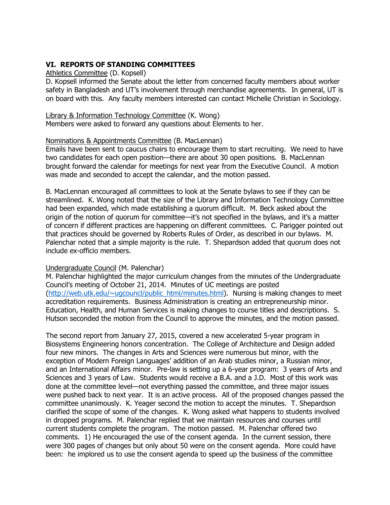## **VI. REPORTS OF STANDING COMMITTEES**

#### Athletics Committee (D. Kopsell)

D. Kopsell informed the Senate about the letter from concerned faculty members about worker safety in Bangladesh and UT's involvement through merchandise agreements. In general, UT is on board with this. Any faculty members interested can contact Michelle Christian in Sociology.

#### Library & Information Technology Committee (K. Wong)

Members were asked to forward any questions about Elements to her.

#### Nominations & Appointments Committee (B. MacLennan)

Emails have been sent to caucus chairs to encourage them to start recruiting. We need to have two candidates for each open position—there are about 30 open positions. B. MacLennan brought forward the calendar for meetings for next year from the Executive Council. A motion was made and seconded to accept the calendar, and the motion passed.

B. MacLennan encouraged all committees to look at the Senate bylaws to see if they can be streamlined. K. Wong noted that the size of the Library and Information Technology Committee had been expanded, which made establishing a quorum difficult. M. Beck asked about the origin of the notion of quorum for committee—it's not specified in the bylaws, and it's a matter of concern if different practices are happening on different committees. C. Parigger pointed out that practices should be governed by Roberts Rules of Order, as described in our bylaws. M. Palenchar noted that a simple majority is the rule. T. Shepardson added that quorum does not include ex-officio members.

## Undergraduate Council (M. Palenchar)

M. Palenchar highlighted the major curriculum changes from the minutes of the Undergraduate Council's meeting of October 21, 2014. Minutes of UC meetings are posted [\(http://web.utk.edu/~ugcouncl/public\\_html/minutes.html\)](http://web.utk.edu/~ugcouncl/public_html/minutes.html). Nursing is making changes to meet accreditation requirements. Business Administration is creating an entrepreneurship minor. Education, Health, and Human Services is making changes to course titles and descriptions. S. Hutson seconded the motion from the Council to approve the minutes, and the motion passed.

The second report from January 27, 2015, covered a new accelerated 5-year program in Biosystems Engineering honors concentration. The College of Architecture and Design added four new minors. The changes in Arts and Sciences were numerous but minor, with the exception of Modern Foreign Languages' addition of an Arab studies minor, a Russian minor, and an International Affairs minor. Pre-law is setting up a 6-year program: 3 years of Arts and Sciences and 3 years of Law. Students would receive a B.A. and a J.D. Most of this work was done at the committee level—not everything passed the committee, and three major issues were pushed back to next year. It is an active process. All of the proposed changes passed the committee unanimously. K. Yeager second the motion to accept the minutes. T. Shepardson clarified the scope of some of the changes. K. Wong asked what happens to students involved in dropped programs. M. Palenchar replied that we maintain resources and courses until current students complete the program. The motion passed. M. Palenchar offered two comments. 1) He encouraged the use of the consent agenda. In the current session, there were 300 pages of changes but only about 50 were on the consent agenda. More could have been: he implored us to use the consent agenda to speed up the business of the committee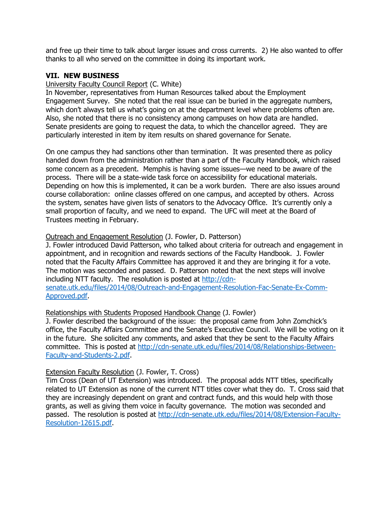and free up their time to talk about larger issues and cross currents. 2) He also wanted to offer thanks to all who served on the committee in doing its important work.

## **VII. NEW BUSINESS**

#### University Faculty Council Report (C. White)

In November, representatives from Human Resources talked about the Employment Engagement Survey. She noted that the real issue can be buried in the aggregate numbers, which don't always tell us what's going on at the department level where problems often are. Also, she noted that there is no consistency among campuses on how data are handled. Senate presidents are going to request the data, to which the chancellor agreed. They are particularly interested in item by item results on shared governance for Senate.

On one campus they had sanctions other than termination. It was presented there as policy handed down from the administration rather than a part of the Faculty Handbook, which raised some concern as a precedent. Memphis is having some issues—we need to be aware of the process. There will be a state-wide task force on accessibility for educational materials. Depending on how this is implemented, it can be a work burden. There are also issues around course collaboration: online classes offered on one campus, and accepted by others. Across the system, senates have given lists of senators to the Advocacy Office. It's currently only a small proportion of faculty, and we need to expand. The UFC will meet at the Board of Trustees meeting in February.

#### Outreach and Engagement Resolution (J. Fowler, D. Patterson)

J. Fowler introduced David Patterson, who talked about criteria for outreach and engagement in appointment, and in recognition and rewards sections of the Faculty Handbook. J. Fowler noted that the Faculty Affairs Committee has approved it and they are bringing it for a vote. The motion was seconded and passed. D. Patterson noted that the next steps will involve including NTT faculty. The resolution is posted at [http://cdn](http://cdn-senate.utk.edu/files/2014/08/Outreach-and-Engagement-Resolution-Fac-Senate-Ex-Comm-Approved.pdf)[senate.utk.edu/files/2014/08/Outreach-and-Engagement-Resolution-Fac-Senate-Ex-Comm-](http://cdn-senate.utk.edu/files/2014/08/Outreach-and-Engagement-Resolution-Fac-Senate-Ex-Comm-Approved.pdf)[Approved.pdf.](http://cdn-senate.utk.edu/files/2014/08/Outreach-and-Engagement-Resolution-Fac-Senate-Ex-Comm-Approved.pdf)

## Relationships with Students Proposed Handbook Change (J. Fowler)

J. Fowler described the background of the issue: the proposal came from John Zomchick's office, the Faculty Affairs Committee and the Senate's Executive Council. We will be voting on it in the future. She solicited any comments, and asked that they be sent to the Faculty Affairs committee. This is posted at [http://cdn-senate.utk.edu/files/2014/08/Relationships-Between-](http://cdn-senate.utk.edu/files/2014/08/Relationships-Between-Faculty-and-Students-2.pdf)[Faculty-and-Students-2.pdf.](http://cdn-senate.utk.edu/files/2014/08/Relationships-Between-Faculty-and-Students-2.pdf)

#### Extension Faculty Resolution (J. Fowler, T. Cross)

Tim Cross (Dean of UT Extension) was introduced. The proposal adds NTT titles, specifically related to UT Extension as none of the current NTT titles cover what they do. T. Cross said that they are increasingly dependent on grant and contract funds, and this would help with those grants, as well as giving them voice in faculty governance. The motion was seconded and passed. The resolution is posted at [http://cdn-senate.utk.edu/files/2014/08/Extension-Faculty-](http://cdn-senate.utk.edu/files/2014/08/Extension-Faculty-Resolution-12615.pdf)[Resolution-12615.pdf.](http://cdn-senate.utk.edu/files/2014/08/Extension-Faculty-Resolution-12615.pdf)